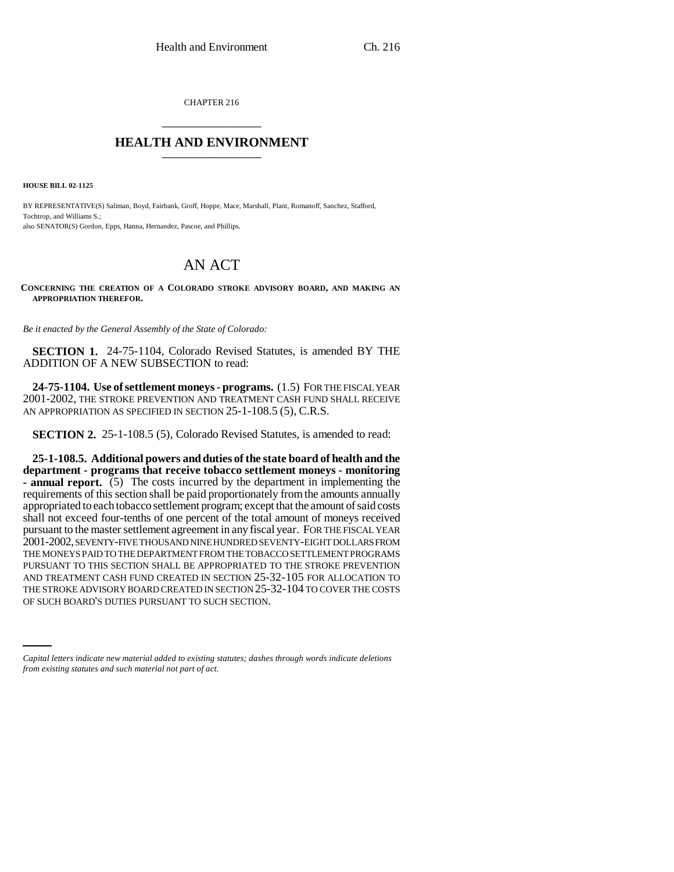CHAPTER 216 \_\_\_\_\_\_\_\_\_\_\_\_\_\_\_

## **HEALTH AND ENVIRONMENT** \_\_\_\_\_\_\_\_\_\_\_\_\_\_\_

**HOUSE BILL 02-1125**

BY REPRESENTATIVE(S) Saliman, Boyd, Fairbank, Groff, Hoppe, Mace, Marshall, Plant, Romanoff, Sanchez, Stafford, Tochtrop, and Williams S.; also SENATOR(S) Gordon, Epps, Hanna, Hernandez, Pascoe, and Phillips.

# AN ACT

**CONCERNING THE CREATION OF A COLORADO STROKE ADVISORY BOARD, AND MAKING AN APPROPRIATION THEREFOR.**

*Be it enacted by the General Assembly of the State of Colorado:*

**SECTION 1.** 24-75-1104, Colorado Revised Statutes, is amended BY THE ADDITION OF A NEW SUBSECTION to read:

**24-75-1104. Use of settlement moneys - programs.** (1.5) FOR THE FISCAL YEAR 2001-2002, THE STROKE PREVENTION AND TREATMENT CASH FUND SHALL RECEIVE AN APPROPRIATION AS SPECIFIED IN SECTION 25-1-108.5 (5), C.R.S.

**SECTION 2.** 25-1-108.5 (5), Colorado Revised Statutes, is amended to read:

THE STROKE ADVISORY BOARD CREATED IN SECTION 25-32-104 TO COVER THE COSTS **25-1-108.5. Additional powers and duties of the state board of health and the department - programs that receive tobacco settlement moneys - monitoring - annual report.** (5) The costs incurred by the department in implementing the requirements of this section shall be paid proportionately from the amounts annually appropriated to each tobacco settlement program; except that the amount of said costs shall not exceed four-tenths of one percent of the total amount of moneys received pursuant to the master settlement agreement in any fiscal year. FOR THE FISCAL YEAR 2001-2002, SEVENTY-FIVE THOUSAND NINE HUNDRED SEVENTY-EIGHT DOLLARS FROM THE MONEYS PAID TO THE DEPARTMENT FROM THE TOBACCO SETTLEMENT PROGRAMS PURSUANT TO THIS SECTION SHALL BE APPROPRIATED TO THE STROKE PREVENTION AND TREATMENT CASH FUND CREATED IN SECTION 25-32-105 FOR ALLOCATION TO OF SUCH BOARD'S DUTIES PURSUANT TO SUCH SECTION.

*Capital letters indicate new material added to existing statutes; dashes through words indicate deletions from existing statutes and such material not part of act.*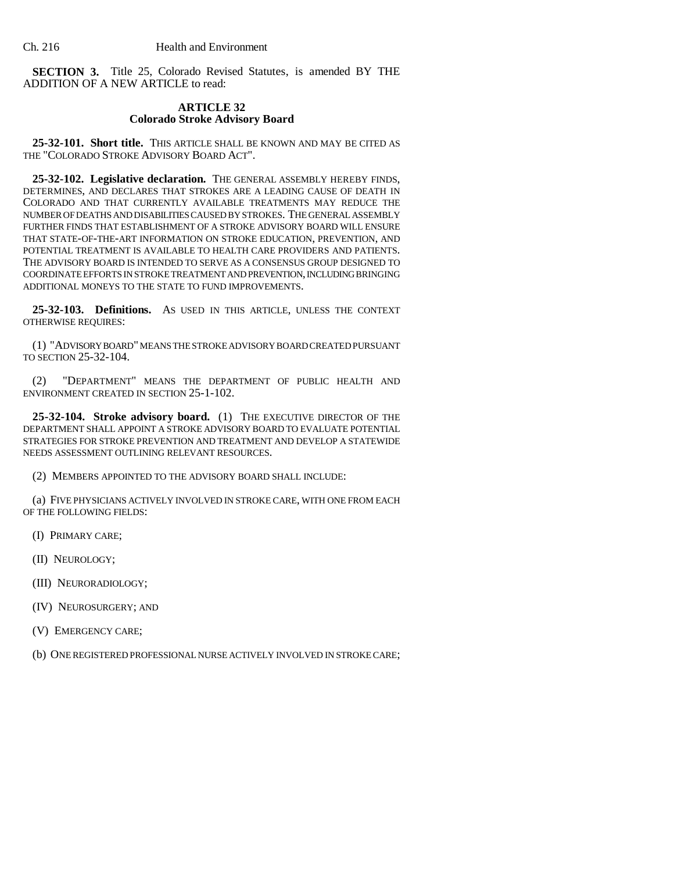**SECTION 3.** Title 25, Colorado Revised Statutes, is amended BY THE ADDITION OF A NEW ARTICLE to read:

### **ARTICLE 32 Colorado Stroke Advisory Board**

**25-32-101. Short title.** THIS ARTICLE SHALL BE KNOWN AND MAY BE CITED AS THE "COLORADO STROKE ADVISORY BOARD ACT".

**25-32-102. Legislative declaration.** THE GENERAL ASSEMBLY HEREBY FINDS, DETERMINES, AND DECLARES THAT STROKES ARE A LEADING CAUSE OF DEATH IN COLORADO AND THAT CURRENTLY AVAILABLE TREATMENTS MAY REDUCE THE NUMBER OF DEATHS AND DISABILITIES CAUSED BY STROKES. THE GENERAL ASSEMBLY FURTHER FINDS THAT ESTABLISHMENT OF A STROKE ADVISORY BOARD WILL ENSURE THAT STATE-OF-THE-ART INFORMATION ON STROKE EDUCATION, PREVENTION, AND POTENTIAL TREATMENT IS AVAILABLE TO HEALTH CARE PROVIDERS AND PATIENTS. THE ADVISORY BOARD IS INTENDED TO SERVE AS A CONSENSUS GROUP DESIGNED TO COORDINATE EFFORTS IN STROKE TREATMENT AND PREVENTION, INCLUDING BRINGING ADDITIONAL MONEYS TO THE STATE TO FUND IMPROVEMENTS.

**25-32-103. Definitions.** AS USED IN THIS ARTICLE, UNLESS THE CONTEXT OTHERWISE REQUIRES:

(1) "ADVISORY BOARD" MEANS THE STROKE ADVISORY BOARD CREATED PURSUANT TO SECTION 25-32-104.

(2) "DEPARTMENT" MEANS THE DEPARTMENT OF PUBLIC HEALTH AND ENVIRONMENT CREATED IN SECTION 25-1-102.

**25-32-104. Stroke advisory board.** (1) THE EXECUTIVE DIRECTOR OF THE DEPARTMENT SHALL APPOINT A STROKE ADVISORY BOARD TO EVALUATE POTENTIAL STRATEGIES FOR STROKE PREVENTION AND TREATMENT AND DEVELOP A STATEWIDE NEEDS ASSESSMENT OUTLINING RELEVANT RESOURCES.

(2) MEMBERS APPOINTED TO THE ADVISORY BOARD SHALL INCLUDE:

(a) FIVE PHYSICIANS ACTIVELY INVOLVED IN STROKE CARE, WITH ONE FROM EACH OF THE FOLLOWING FIELDS:

- (I) PRIMARY CARE;
- (II) NEUROLOGY;
- (III) NEURORADIOLOGY;
- (IV) NEUROSURGERY; AND
- (V) EMERGENCY CARE;

(b) ONE REGISTERED PROFESSIONAL NURSE ACTIVELY INVOLVED IN STROKE CARE;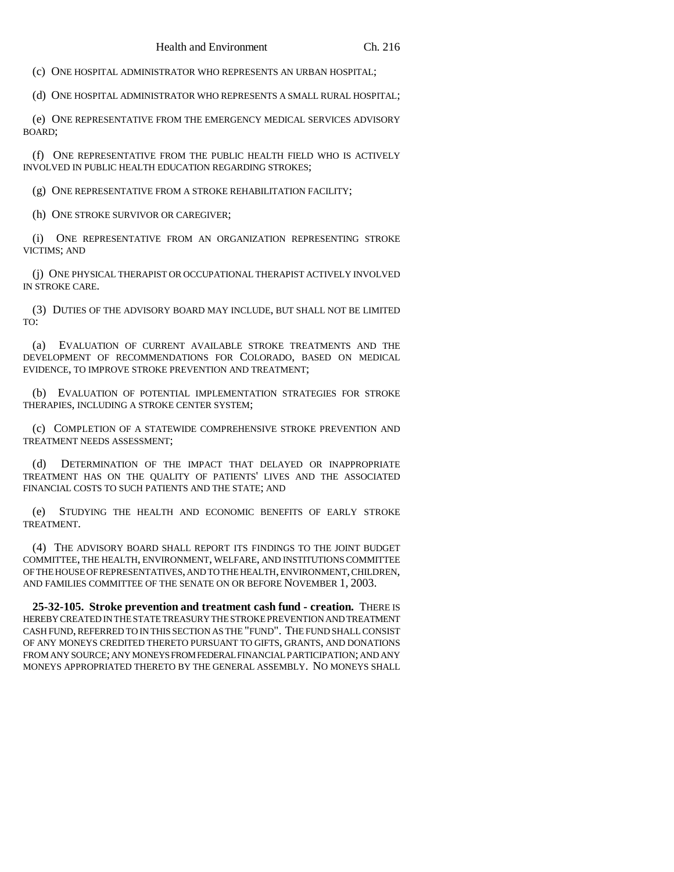(c) ONE HOSPITAL ADMINISTRATOR WHO REPRESENTS AN URBAN HOSPITAL;

(d) ONE HOSPITAL ADMINISTRATOR WHO REPRESENTS A SMALL RURAL HOSPITAL;

(e) ONE REPRESENTATIVE FROM THE EMERGENCY MEDICAL SERVICES ADVISORY BOARD;

(f) ONE REPRESENTATIVE FROM THE PUBLIC HEALTH FIELD WHO IS ACTIVELY INVOLVED IN PUBLIC HEALTH EDUCATION REGARDING STROKES;

(g) ONE REPRESENTATIVE FROM A STROKE REHABILITATION FACILITY;

(h) ONE STROKE SURVIVOR OR CAREGIVER;

(i) ONE REPRESENTATIVE FROM AN ORGANIZATION REPRESENTING STROKE VICTIMS; AND

(j) ONE PHYSICAL THERAPIST OR OCCUPATIONAL THERAPIST ACTIVELY INVOLVED IN STROKE CARE.

(3) DUTIES OF THE ADVISORY BOARD MAY INCLUDE, BUT SHALL NOT BE LIMITED TO:

(a) EVALUATION OF CURRENT AVAILABLE STROKE TREATMENTS AND THE DEVELOPMENT OF RECOMMENDATIONS FOR COLORADO, BASED ON MEDICAL EVIDENCE, TO IMPROVE STROKE PREVENTION AND TREATMENT;

(b) EVALUATION OF POTENTIAL IMPLEMENTATION STRATEGIES FOR STROKE THERAPIES, INCLUDING A STROKE CENTER SYSTEM;

(c) COMPLETION OF A STATEWIDE COMPREHENSIVE STROKE PREVENTION AND TREATMENT NEEDS ASSESSMENT;

(d) DETERMINATION OF THE IMPACT THAT DELAYED OR INAPPROPRIATE TREATMENT HAS ON THE QUALITY OF PATIENTS' LIVES AND THE ASSOCIATED FINANCIAL COSTS TO SUCH PATIENTS AND THE STATE; AND

(e) STUDYING THE HEALTH AND ECONOMIC BENEFITS OF EARLY STROKE TREATMENT.

(4) THE ADVISORY BOARD SHALL REPORT ITS FINDINGS TO THE JOINT BUDGET COMMITTEE, THE HEALTH, ENVIRONMENT, WELFARE, AND INSTITUTIONS COMMITTEE OF THE HOUSE OF REPRESENTATIVES, AND TO THE HEALTH, ENVIRONMENT, CHILDREN, AND FAMILIES COMMITTEE OF THE SENATE ON OR BEFORE NOVEMBER 1, 2003.

**25-32-105. Stroke prevention and treatment cash fund - creation.** THERE IS HEREBY CREATED IN THE STATE TREASURY THE STROKE PREVENTION AND TREATMENT CASH FUND, REFERRED TO IN THIS SECTION AS THE "FUND". THE FUND SHALL CONSIST OF ANY MONEYS CREDITED THERETO PURSUANT TO GIFTS, GRANTS, AND DONATIONS FROM ANY SOURCE; ANY MONEYS FROM FEDERAL FINANCIAL PARTICIPATION; AND ANY MONEYS APPROPRIATED THERETO BY THE GENERAL ASSEMBLY. NO MONEYS SHALL